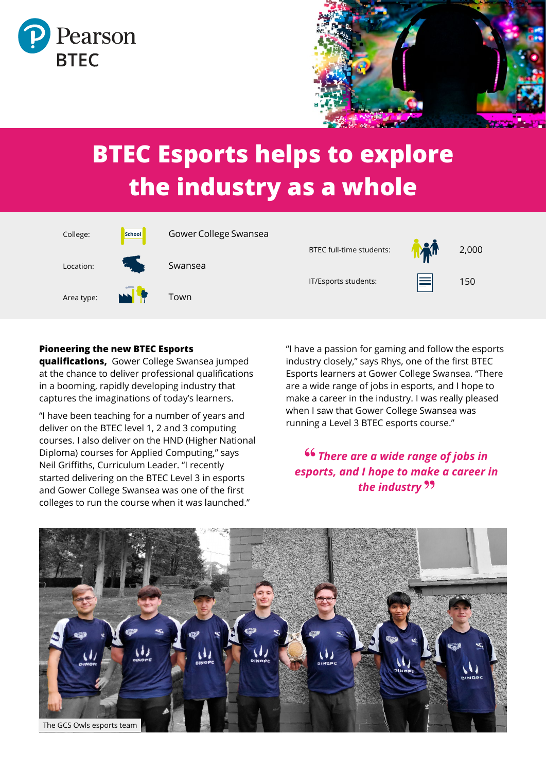



# **BTEC Esports helps to explore the industry as a whole**



#### **Pioneering the new BTEC Esports**

**qualifications,** Gower College Swansea jumped at the chance to deliver professional qualifications in a booming, rapidly developing industry that captures the imaginations of today's learners.

"I have been teaching for a number of years and deliver on the BTEC level 1, 2 and 3 computing courses. I also deliver on the HND (Higher National Diploma) courses for Applied Computing," says Neil Griffiths, Curriculum Leader. "I recently started delivering on the BTEC Level 3 in esports and Gower College Swansea was one of the first colleges to run the course when it was launched."

"I have a passion for gaming and follow the esports industry closely," says Rhys, one of the first BTEC Esports learners at Gower College Swansea. "There are a wide range of jobs in esports, and I hope to make a career in the industry. I was really pleased when I saw that Gower College Swansea was running a Level 3 BTEC esports course."

#### *There are a wide range of jobs in esports, and I hope to make a career in the industry*